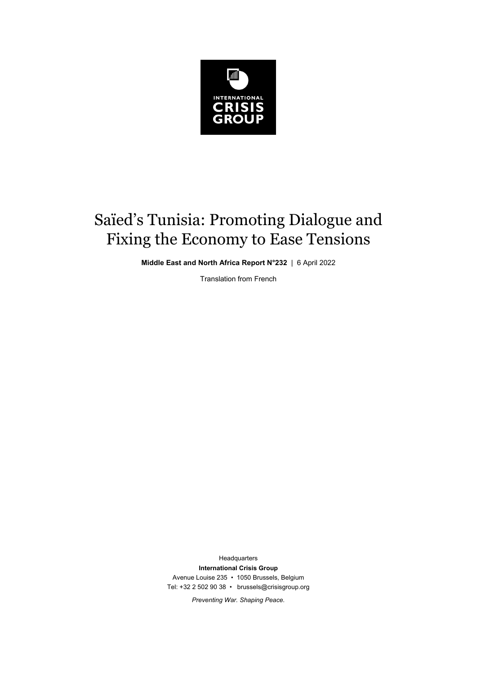

## Saïed's Tunisia: Promoting Dialogue and Fixing the Economy to Ease Tensions

**Middle East and North Africa Report N°232** | 6 April 2022

Translation from French

Headquarters **International Crisis Group**  Avenue Louise 235 • 1050 Brussels, Belgium Tel: +32 2 502 90 38 • brussels@crisisgroup.org

*Preventing War. Shaping Peace.*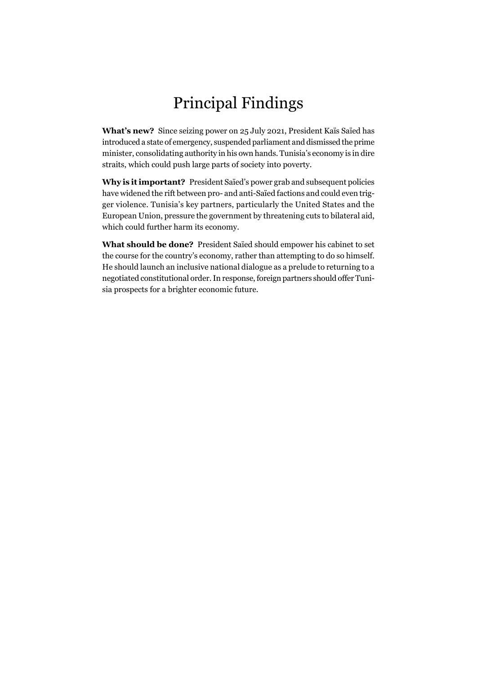## Principal Findings

**What's new?** Since seizing power on 25 July 2021, President Kaïs Saïed has introduced a state of emergency, suspended parliament and dismissed the prime minister, consolidating authority in his own hands. Tunisia's economy is in dire straits, which could push large parts of society into poverty.

**Why is it important?** President Saïed's power grab and subsequent policies have widened the rift between pro- and anti-Saïed factions and could even trigger violence. Tunisia's key partners, particularly the United States and the European Union, pressure the government by threatening cuts to bilateral aid, which could further harm its economy.

**What should be done?** President Saïed should empower his cabinet to set the course for the country's economy, rather than attempting to do so himself. He should launch an inclusive national dialogue as a prelude to returning to a negotiated constitutional order. In response, foreign partners should offer Tunisia prospects for a brighter economic future.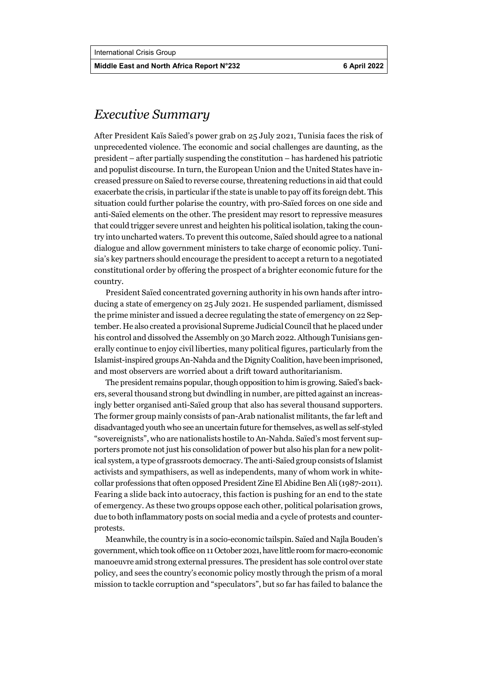**Middle East and North Africa Report N°232 6 April 2022** 

## *Executive Summary*

After President Kaïs Saïed's power grab on 25 July 2021, Tunisia faces the risk of unprecedented violence. The economic and social challenges are daunting, as the president – after partially suspending the constitution – has hardened his patriotic and populist discourse. In turn, the European Union and the United States have increased pressure on Saïed to reverse course, threatening reductions in aid that could exacerbate the crisis, in particular if the state is unable to pay off its foreign debt. This situation could further polarise the country, with pro-Saïed forces on one side and anti-Saïed elements on the other. The president may resort to repressive measures that could trigger severe unrest and heighten his political isolation, taking the country into uncharted waters. To prevent this outcome, Saïed should agree to a national dialogue and allow government ministers to take charge of economic policy. Tunisia's key partners should encourage the president to accept a return to a negotiated constitutional order by offering the prospect of a brighter economic future for the country.

President Saïed concentrated governing authority in his own hands after introducing a state of emergency on 25 July 2021. He suspended parliament, dismissed the prime minister and issued a decree regulating the state of emergency on 22 September. He also created a provisional Supreme Judicial Council that he placed under his control and dissolved the Assembly on 30 March 2022. Although Tunisians generally continue to enjoy civil liberties, many political figures, particularly from the Islamist-inspired groups An-Nahda and the Dignity Coalition, have been imprisoned, and most observers are worried about a drift toward authoritarianism.

The president remains popular, though opposition to him is growing. Saïed's backers, several thousand strong but dwindling in number, are pitted against an increasingly better organised anti-Saïed group that also has several thousand supporters. The former group mainly consists of pan-Arab nationalist militants, the far left and disadvantaged youth who see an uncertain future for themselves, as well as self-styled "sovereignists", who are nationalists hostile to An-Nahda. Saïed's most fervent supporters promote not just his consolidation of power but also his plan for a new political system, a type of grassroots democracy. The anti-Saïed group consists of Islamist activists and sympathisers, as well as independents, many of whom work in whitecollar professions that often opposed President Zine El Abidine Ben Ali (1987-2011). Fearing a slide back into autocracy, this faction is pushing for an end to the state of emergency. As these two groups oppose each other, political polarisation grows, due to both inflammatory posts on social media and a cycle of protests and counterprotests.

Meanwhile, the country is in a socio-economic tailspin. Saïed and Najla Bouden's government, which took office on 11 October 2021, have little room for macro-economic manoeuvre amid strong external pressures. The president has sole control over state policy, and sees the country's economic policy mostly through the prism of a moral mission to tackle corruption and "speculators", but so far has failed to balance the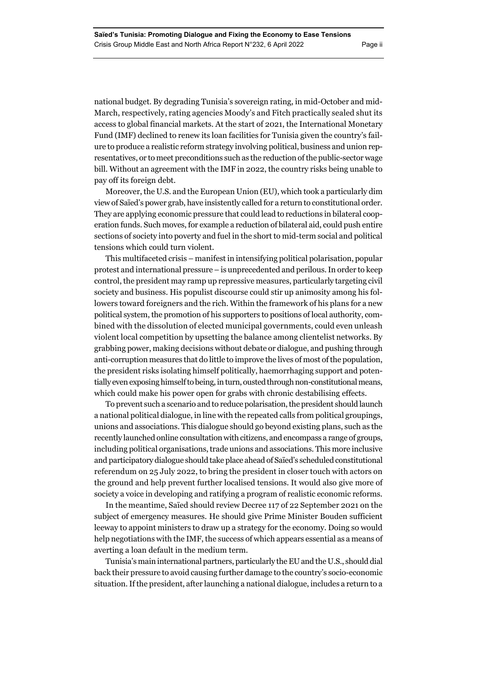national budget. By degrading Tunisia's sovereign rating, in mid-October and mid-March, respectively, rating agencies Moody's and Fitch practically sealed shut its access to global financial markets. At the start of 2021, the International Monetary Fund (IMF) declined to renew its loan facilities for Tunisia given the country's failure to produce a realistic reform strategy involving political, business and union representatives, or to meet preconditions such as the reduction of the public-sector wage bill. Without an agreement with the IMF in 2022, the country risks being unable to pay off its foreign debt.

Moreover, the U.S. and the European Union (EU), which took a particularly dim view of Saïed's power grab, have insistently called for a return to constitutional order. They are applying economic pressure that could lead to reductions in bilateral cooperation funds. Such moves, for example a reduction of bilateral aid, could push entire sections of society into poverty and fuel in the short to mid-term social and political tensions which could turn violent.

This multifaceted crisis – manifest in intensifying political polarisation, popular protest and international pressure – is unprecedented and perilous. In order to keep control, the president may ramp up repressive measures, particularly targeting civil society and business. His populist discourse could stir up animosity among his followers toward foreigners and the rich. Within the framework of his plans for a new political system, the promotion of his supporters to positions of local authority, combined with the dissolution of elected municipal governments, could even unleash violent local competition by upsetting the balance among clientelist networks. By grabbing power, making decisions without debate or dialogue, and pushing through anti-corruption measures that do little to improve the lives of most of the population, the president risks isolating himself politically, haemorrhaging support and potentially even exposing himself to being, in turn, ousted through non-constitutional means, which could make his power open for grabs with chronic destabilising effects.

To prevent such a scenario and to reduce polarisation, the president should launch a national political dialogue, in line with the repeated calls from political groupings, unions and associations. This dialogue should go beyond existing plans, such as the recently launched online consultation with citizens, and encompass a range of groups, including political organisations, trade unions and associations. This more inclusive and participatory dialogue should take place ahead of Saïed's scheduled constitutional referendum on 25 July 2022, to bring the president in closer touch with actors on the ground and help prevent further localised tensions. It would also give more of society a voice in developing and ratifying a program of realistic economic reforms.

In the meantime, Saïed should review Decree 117 of 22 September 2021 on the subject of emergency measures. He should give Prime Minister Bouden sufficient leeway to appoint ministers to draw up a strategy for the economy. Doing so would help negotiations with the IMF, the success of which appears essential as a means of averting a loan default in the medium term.

Tunisia's main international partners, particularly the EU and the U.S., should dial back their pressure to avoid causing further damage to the country's socio-economic situation. If the president, after launching a national dialogue, includes a return to a